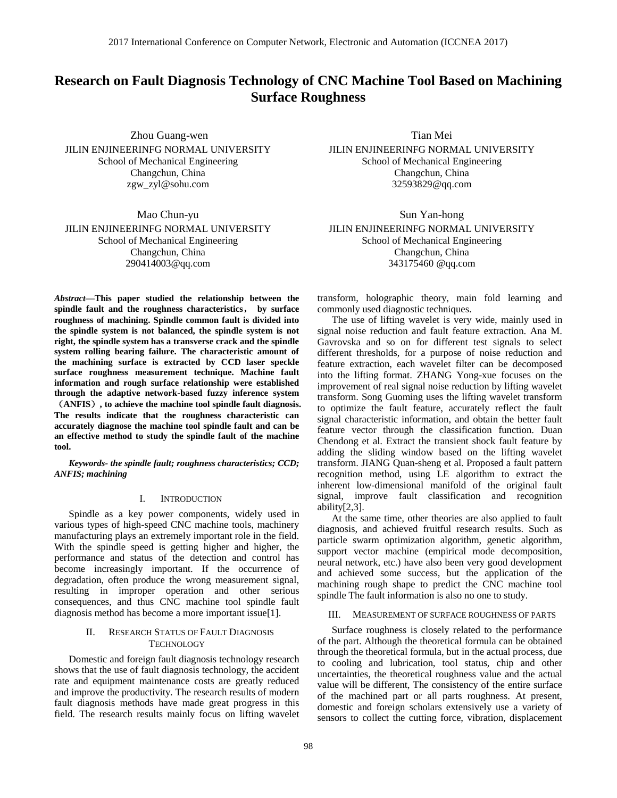# **Research on Fault Diagnosis Technology of CNC Machine Tool Based on Machining Surface Roughness**

Zhou Guang-wen JILIN ENJINEERINFG NORMAL UNIVERSITY School of Mechanical Engineering Changchun, China zgw\_zyl@sohu.com

Mao Chun-yu JILIN ENJINEERINFG NORMAL UNIVERSITY School of Mechanical Engineering Changchun, China 290414003@qq.com

*Abstract***—This paper studied the relationship between the spindle fault and the roughness characteristics**, **by surface roughness of machining. Spindle common fault is divided into the spindle system is not balanced, the spindle system is not right, the spindle system has a transverse crack and the spindle system rolling bearing failure. The characteristic amount of the machining surface is extracted by CCD laser speckle surface roughness measurement technique. Machine fault information and rough surface relationship were established through the [adaptive network-based fuzzy inference system](http://www.so.com/link?url=http%3A%2F%2Fwww.dict.cn%2Fadaptive%2520network-based%2520fuzzy%2520inference%2520system%2520ANFIS&q=ANFIS%E8%8B%B1%E6%96%87&ts=1494737962&t=1f1ea24f2e8815af19aa221c1f4183c&src=haosou)** (**ANFIS**)**, to achieve the machine tool spindle fault diagnosis. The results indicate that the roughness characteristic can accurately diagnose the machine tool spindle fault and can be an effective method to study the spindle fault of the machine tool.**

*Keywords- the spindle fault; roughness characteristics; CCD; ANFIS; machining*

### I. INTRODUCTION

Spindle as a key power components, widely used in various types of high-speed CNC machine tools, machinery manufacturing plays an extremely important role in the field. With the spindle speed is getting higher and higher, the performance and status of the detection and control has become increasingly important. If the occurrence of degradation, often produce the wrong measurement signal, resulting in improper operation and other serious consequences, and thus CNC machine tool spindle fault diagnosis method has become a more important issue[1].

## II. RESEARCH STATUS OF FAULT DIAGNOSIS **TECHNOLOGY**

Domestic and foreign fault diagnosis technology research shows that the use of fault diagnosis technology, the accident rate and equipment maintenance costs are greatly reduced and improve the productivity. The research results of modern fault diagnosis methods have made great progress in this field. The research results mainly focus on lifting wavelet Tian Mei

JILIN ENJINEERINFG NORMAL UNIVERSITY School of Mechanical Engineering Changchun, China 32593829@qq.com

Sun Yan-hong JILIN ENJINEERINFG NORMAL UNIVERSITY School of Mechanical Engineering Changchun, China 343175460 @qq.com

transform, holographic theory, main fold learning and commonly used diagnostic techniques.

The use of lifting wavelet is very wide, mainly used in signal noise reduction and fault feature extraction. Ana M. Gavrovska and so on for different test signals to select different thresholds, for a purpose of noise reduction and feature extraction, each wavelet filter can be decomposed into the lifting format. ZHANG Yong-xue focuses on the improvement of real signal noise reduction by lifting wavelet transform. Song Guoming uses the lifting wavelet transform to optimize the fault feature, accurately reflect the fault signal characteristic information, and obtain the better fault feature vector through the classification function. Duan Chendong et al. Extract the transient shock fault feature by adding the sliding window based on the lifting wavelet transform. JIANG Quan-sheng et al. Proposed a fault pattern recognition method, using LE algorithm to extract the inherent low-dimensional manifold of the original fault signal, improve fault classification and recognition ability[2,3].

At the same time, other theories are also applied to fault diagnosis, and achieved fruitful research results. Such as particle swarm optimization algorithm, genetic algorithm, support vector machine (empirical mode decomposition, neural network, etc.) have also been very good development and achieved some success, but the application of the machining rough shape to predict the CNC machine tool spindle The fault information is also no one to study.

#### III. MEASUREMENT OF SURFACE ROUGHNESS OF PARTS

Surface roughness is closely related to the performance of the part. Although the theoretical formula can be obtained through the theoretical formula, but in the actual process, due to cooling and lubrication, tool status, chip and other uncertainties, the theoretical roughness value and the actual value will be different, The consistency of the entire surface of the machined part or all parts roughness. At present, domestic and foreign scholars extensively use a variety of sensors to collect the cutting force, vibration, displacement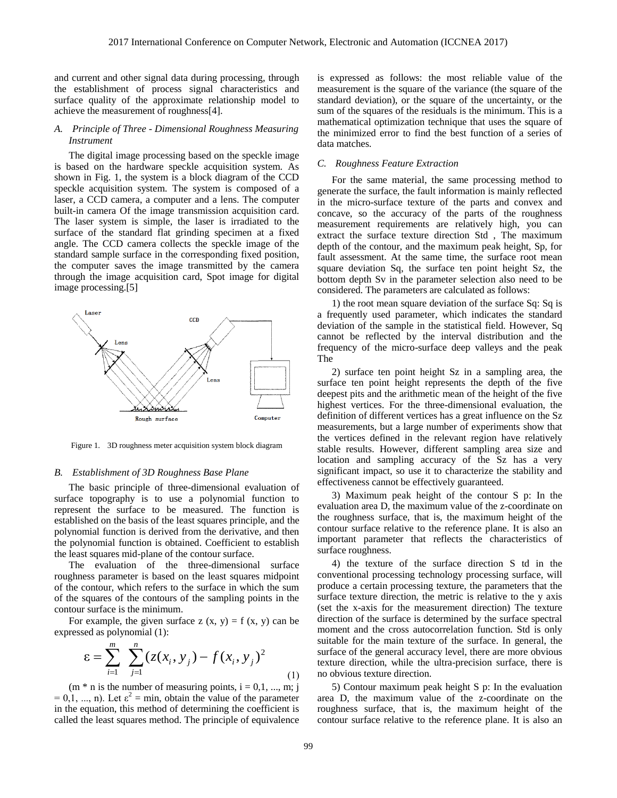and current and other signal data during processing, through the establishment of process signal characteristics and surface quality of the approximate relationship model to achieve the measurement of roughness[4].

### *A. Principle of Three - Dimensional Roughness Measuring Instrument*

The digital image processing based on the speckle image is based on the hardware speckle acquisition system. As shown in Fig. 1, the system is a block diagram of the CCD speckle acquisition system. The system is composed of a laser, a CCD camera, a computer and a lens. The computer built-in camera Of the image transmission acquisition card. The laser system is simple, the laser is irradiated to the surface of the standard flat grinding specimen at a fixed angle. The CCD camera collects the speckle image of the standard sample surface in the corresponding fixed position, the computer saves the image transmitted by the camera through the image acquisition card, Spot image for digital image processing.[5]



Figure 1. 3D roughness meter acquisition system block diagram

#### *B. Establishment of 3D Roughness Base Plane*

The basic principle of three-dimensional evaluation of surface topography is to use a polynomial function to represent the surface to be measured. The function is established on the basis of the least squares principle, and the polynomial function is derived from the derivative, and then the polynomial function is obtained. Coefficient to establish the least squares mid-plane of the contour surface.

The evaluation of the three-dimensional surface roughness parameter is based on the least squares midpoint of the contour, which refers to the surface in which the sum of the squares of the contours of the sampling points in the contour surface is the minimum.

For example, the given surface z  $(x, y) = f(x, y)$  can be expressed as polynomial (1):

$$
\varepsilon = \sum_{i=1}^{m} \sum_{j=1}^{n} (z(x_i, y_j) - f(x_i, y_j)^2)
$$
 (1)

 $(m * n$  is the number of measuring points,  $i = 0, 1, ..., m$ ; j  $= 0, 1, ..., n$ ). Let  $\varepsilon^2 = \min$ , obtain the value of the parameter in the equation, this method of determining the coefficient is called the least squares method. The principle of equivalence

is expressed as follows: the most reliable value of the measurement is the square of the variance (the square of the standard deviation), or the square of the uncertainty, or the sum of the squares of the residuals is the minimum. This is a mathematical optimization technique that uses the square of the minimized error to find the best function of a series of data matches.

### *C. Roughness Feature Extraction*

For the same material, the same processing method to generate the surface, the fault information is mainly reflected in the micro-surface texture of the parts and convex and concave, so the accuracy of the parts of the roughness measurement requirements are relatively high, you can extract the surface texture direction Std , The maximum depth of the contour, and the maximum peak height, Sp, for fault assessment. At the same time, the surface root mean square deviation Sq, the surface ten point height Sz, the bottom depth Sv in the parameter selection also need to be considered. The parameters are calculated as follows:

1) the root mean square deviation of the surface Sq: Sq is a frequently used parameter, which indicates the standard deviation of the sample in the statistical field. However, Sq cannot be reflected by the interval distribution and the frequency of the micro-surface deep valleys and the peak The

2) surface ten point height Sz in a sampling area, the surface ten point height represents the depth of the five deepest pits and the arithmetic mean of the height of the five highest vertices. For the three-dimensional evaluation, the definition of different vertices has a great influence on the Sz measurements, but a large number of experiments show that the vertices defined in the relevant region have relatively stable results. However, different sampling area size and location and sampling accuracy of the Sz has a very significant impact, so use it to characterize the stability and effectiveness cannot be effectively guaranteed.

3) Maximum peak height of the contour S p: In the evaluation area D, the maximum value of the z-coordinate on the roughness surface, that is, the maximum height of the contour surface relative to the reference plane. It is also an important parameter that reflects the characteristics of surface roughness.

4) the texture of the surface direction S td in the conventional processing technology processing surface, will produce a certain processing texture, the parameters that the surface texture direction, the metric is relative to the y axis (set the x-axis for the measurement direction) The texture direction of the surface is determined by the surface spectral moment and the cross autocorrelation function. Std is only suitable for the main texture of the surface. In general, the surface of the general accuracy level, there are more obvious texture direction, while the ultra-precision surface, there is no obvious texture direction.

5) Contour maximum peak height S p: In the evaluation area D, the maximum value of the z-coordinate on the roughness surface, that is, the maximum height of the contour surface relative to the reference plane. It is also an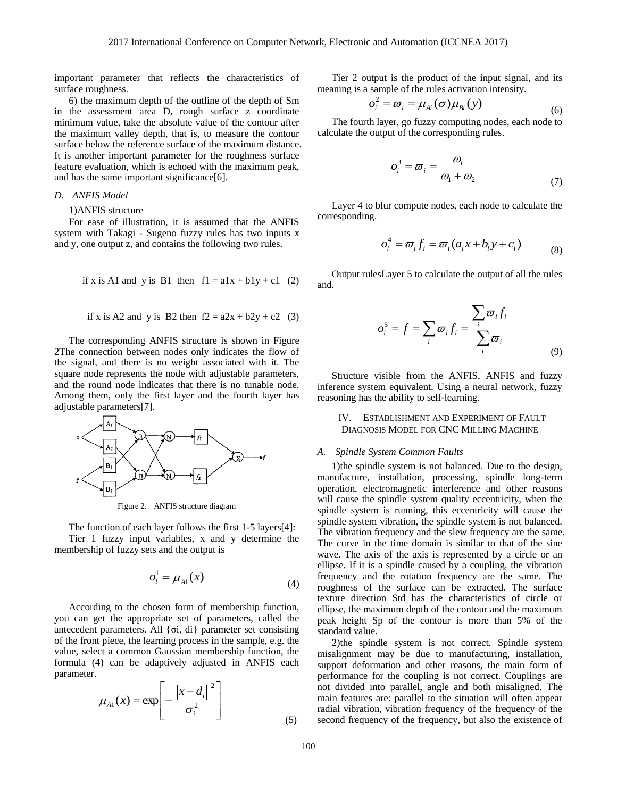important parameter that reflects the characteristics of surface roughness.

6) the maximum depth of the outline of the depth of Sm in the assessment area D, rough surface z coordinate minimum value, take the absolute value of the contour after the maximum valley depth, that is, to measure the contour surface below the reference surface of the maximum distance. It is another important parameter for the roughness surface feature evaluation, which is echoed with the maximum peak, and has the same important significance[6].

## *D. ANFIS Model*

1)ANFIS structure

For ease of illustration, it is assumed that the ANFIS system with Takagi - Sugeno fuzzy rules has two inputs x and y, one output z, and contains the following two rules.

if x is A1 and y is B1 then 
$$
f1 = a1x + b1y + c1
$$
 (2)

if x is A2 and y is B2 then 
$$
f2 = a2x + b2y + c2
$$
 (3)

The corresponding ANFIS structure is shown in Figure 2The connection between nodes only indicates the flow of the signal, and there is no weight associated with it. The square node represents the node with adjustable parameters, and the round node indicates that there is no tunable node. Among them, only the first layer and the fourth layer has adjustable parameters[7].



Figure 2. ANFIS structure diagram

The function of each layer follows the first 1-5 layers[4]: Tier 1 fuzzy input variables, x and y determine the membership of fuzzy sets and the output is

$$
o_i^1 = \mu_{A1}(x) \tag{4}
$$

According to the chosen form of membership function, you can get the appropriate set of parameters, called the antecedent parameters. All {σi, di} parameter set consisting of the front piece, the learning process in the sample, e.g. the value, select a common Gaussian membership function, the formula (4) can be adaptively adjusted in ANFIS each parameter.

$$
\mu_{A1}(x) = \exp\left[-\frac{\|x - d_i\|^2}{\sigma_i^2}\right]
$$
\n(5)

Tier 2 output is the product of the input signal, and its meaning is a sample of the rules activation intensity.

$$
o_i^2 = \varpi_i = \mu_{Ai}(\sigma)\mu_{Bi}(y)
$$
\n(6)

The fourth layer, go fuzzy computing nodes, each node to calculate the output of the corresponding rules.

$$
o_i^3 = \varpi_i = \frac{\omega_i}{\omega_1 + \omega_2} \tag{7}
$$

Layer 4 to blur compute nodes, each node to calculate the corresponding.

$$
o_i^4 = \varpi_i f_i = \varpi_i (a_i x + b_i y + c_i)
$$
\n(8)

Output rulesLayer 5 to calculate the output of all the rules and.

$$
o_i^5 = f = \sum_i \varpi_i f_i = \frac{\sum_i \varpi_i f_i}{\sum_i \varpi_i}
$$
\n(9)

Structure visible from the ANFIS, ANFIS and fuzzy inference system equivalent. Using a neural network, fuzzy reasoning has the ability to self-learning.

IV. ESTABLISHMENT AND EXPERIMENT OF FAULT DIAGNOSIS MODEL FOR CNC MILLING MACHINE

#### *A. Spindle System Common Faults*

1)the spindle system is not balanced. Due to the design, manufacture, installation, processing, spindle long-term operation, electromagnetic interference and other reasons will cause the spindle system quality eccentricity, when the spindle system is running, this eccentricity will cause the spindle system vibration, the spindle system is not balanced. The vibration frequency and the slew frequency are the same. The curve in the time domain is similar to that of the sine wave. The axis of the axis is represented by a circle or an ellipse. If it is a spindle caused by a coupling, the vibration frequency and the rotation frequency are the same. The roughness of the surface can be extracted. The surface texture direction Std has the characteristics of circle or ellipse, the maximum depth of the contour and the maximum peak height Sp of the contour is more than 5% of the standard value.

2)the spindle system is not correct. Spindle system misalignment may be due to manufacturing, installation, support deformation and other reasons, the main form of performance for the coupling is not correct. Couplings are not divided into parallel, angle and both misaligned. The main features are: parallel to the situation will often appear radial vibration, vibration frequency of the frequency of the second frequency of the frequency, but also the existence of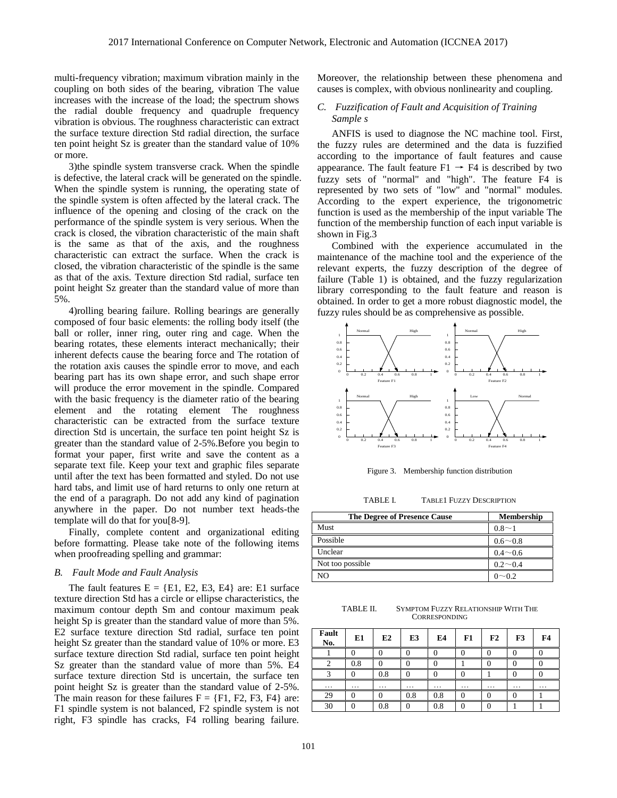multi-frequency vibration; maximum vibration mainly in the coupling on both sides of the bearing, vibration The value increases with the increase of the load; the spectrum shows the radial double frequency and quadruple frequency vibration is obvious. The roughness characteristic can extract the surface texture direction Std radial direction, the surface ten point height Sz is greater than the standard value of 10% or more.

3)the spindle system transverse crack. When the spindle is defective, the lateral crack will be generated on the spindle. When the spindle system is running, the operating state of the spindle system is often affected by the lateral crack. The influence of the opening and closing of the crack on the performance of the spindle system is very serious. When the crack is closed, the vibration characteristic of the main shaft is the same as that of the axis, and the roughness characteristic can extract the surface. When the crack is closed, the vibration characteristic of the spindle is the same as that of the axis. Texture direction Std radial, surface ten point height Sz greater than the standard value of more than 5%.

4)rolling bearing failure. Rolling bearings are generally composed of four basic elements: the rolling body itself (the ball or roller, inner ring, outer ring and cage. When the bearing rotates, these elements interact mechanically; their inherent defects cause the bearing force and The rotation of the rotation axis causes the spindle error to move, and each bearing part has its own shape error, and such shape error will produce the error movement in the spindle. Compared with the basic frequency is the diameter ratio of the bearing element and the rotating element The roughness characteristic can be extracted from the surface texture direction Std is uncertain, the surface ten point height Sz is greater than the standard value of 2-5%.Before you begin to format your paper, first write and save the content as a separate text file. Keep your text and graphic files separate until after the text has been formatted and styled. Do not use hard tabs, and limit use of hard returns to only one return at the end of a paragraph. Do not add any kind of pagination anywhere in the paper. Do not number text heads-the template will do that for you[8-9].

Finally, complete content and organizational editing before formatting. Please take note of the following items when proofreading spelling and grammar:

#### *B. Fault Mode and Fault Analysis*

The fault features  $E = \{E1, E2, E3, E4\}$  are: E1 surface texture direction Std has a circle or ellipse characteristics, the maximum contour depth Sm and contour maximum peak height Sp is greater than the standard value of more than 5%. E2 surface texture direction Std radial, surface ten point height Sz greater than the standard value of 10% or more. E3 surface texture direction Std radial, surface ten point height Sz greater than the standard value of more than 5%. E4 surface texture direction Std is uncertain, the surface ten point height Sz is greater than the standard value of 2-5%. The main reason for these failures  $F = \{F1, F2, F3, F4\}$  are: F1 spindle system is not balanced, F2 spindle system is not right, F3 spindle has cracks, F4 rolling bearing failure.

Moreover, the relationship between these phenomena and causes is complex, with obvious nonlinearity and coupling.

# *C. Fuzzification of Fault and Acquisition of Training Sample s*

ANFIS is used to diagnose the NC machine tool. First, the fuzzy rules are determined and the data is fuzzified according to the importance of fault features and cause appearance. The fault feature  $F1 \rightarrow F4$  is described by two fuzzy sets of "normal" and "high". The feature F4 is represented by two sets of "low" and "normal" modules. According to the expert experience, the trigonometric function is used as the membership of the input variable The function of the membership function of each input variable is shown in Fig.3

Combined with the experience accumulated in the maintenance of the machine tool and the experience of the relevant experts, the fuzzy description of the degree of failure (Table 1) is obtained, and the fuzzy regularization library corresponding to the fault feature and reason is obtained. In order to get a more robust diagnostic model, the fuzzy rules should be as comprehensive as possible.



Figure 3. Membership function distribution

TABLE I. TABLE1 FUZZY DESCRIPTION

| <b>The Degree of Presence Cause</b> | <b>Membership</b> |  |  |
|-------------------------------------|-------------------|--|--|
| Must                                | $0.8 - 1$         |  |  |
| Possible                            | $0.6 \sim 0.8$    |  |  |
| Unclear                             | $0.4 \sim 0.6$    |  |  |
| Not too possible                    | $0.2 \sim 0.4$    |  |  |
| NO.                                 | $0\sim 0.2$       |  |  |

TABLE II. SYMPTOM FUZZY RELATIONSHIP WITH THE **CORRESPONDING** 

| Fault<br>No. | E1       | E2       | E3       | E <sub>4</sub> | F1       | F <sub>2</sub> | F3       | F <sub>4</sub> |
|--------------|----------|----------|----------|----------------|----------|----------------|----------|----------------|
|              |          |          |          |                |          |                |          |                |
|              | 0.8      |          |          |                |          |                |          |                |
|              |          | 0.8      |          |                |          |                |          |                |
| $\cdots$     | $\cdots$ | $\cdots$ | $\cdots$ | $\cdots$       | $\cdots$ | $\cdots$       | $\cdots$ | $\cdots$       |
| 29           |          |          | 0.8      | $_{0.8}$       |          |                |          |                |
| 30           |          | 0.8      |          | 0.8            |          |                |          |                |